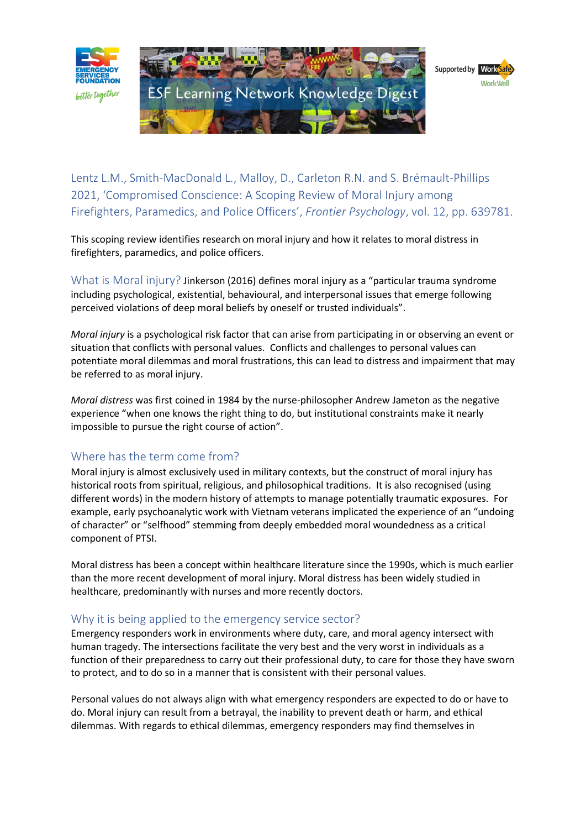

Lentz L.M., Smith-MacDonald L., Malloy, D., Carleton R.N. and S. Brémault-Phillips 2021, 'Compromised Conscience: A Scoping Review of Moral Injury among Firefighters, Paramedics, and Police Officers', *Frontier Psychology*, vol. 12, pp. 639781.

This scoping review identifies research on moral injury and how it relates to moral distress in firefighters, paramedics, and police officers.

What is Moral injury? Jinkerson (2016) defines moral injury as a "particular trauma syndrome including psychological, existential, behavioural, and interpersonal issues that emerge following perceived violations of deep moral beliefs by oneself or trusted individuals".

*Moral injury* is a psychological risk factor that can arise from participating in or observing an event or situation that conflicts with personal values. Conflicts and challenges to personal values can potentiate moral dilemmas and moral frustrations, this can lead to distress and impairment that may be referred to as moral injury.

*Moral distress* was first coined in 1984 by the nurse-philosopher Andrew Jameton as the negative experience "when one knows the right thing to do, but institutional constraints make it nearly impossible to pursue the right course of action".

# Where has the term come from?

Moral injury is almost exclusively used in military contexts, but the construct of moral injury has historical roots from spiritual, religious, and philosophical traditions. It is also recognised (using different words) in the modern history of attempts to manage potentially traumatic exposures. For example, early psychoanalytic work with Vietnam veterans implicated the experience of an "undoing of character" or "selfhood" stemming from deeply embedded moral woundedness as a critical component of PTSI.

Moral distress has been a concept within healthcare literature since the 1990s, which is much earlier than the more recent development of moral injury. Moral distress has been widely studied in healthcare, predominantly with nurses and more recently doctors.

### Why it is being applied to the emergency service sector?

Emergency responders work in environments where duty, care, and moral agency intersect with human tragedy. The intersections facilitate the very best and the very worst in individuals as a function of their preparedness to carry out their professional duty, to care for those they have sworn to protect, and to do so in a manner that is consistent with their personal values.

Personal values do not always align with what emergency responders are expected to do or have to do. Moral injury can result from a betrayal, the inability to prevent death or harm, and ethical dilemmas. With regards to ethical dilemmas, emergency responders may find themselves in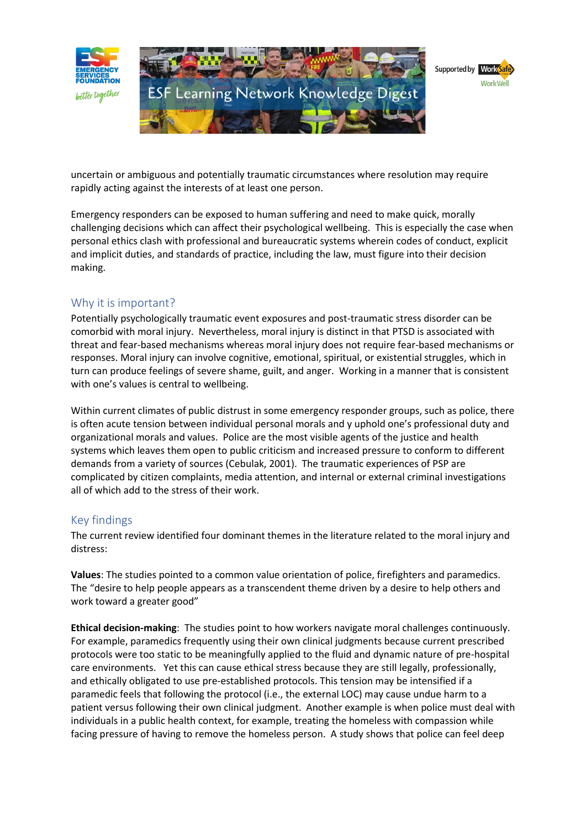

uncertain or ambiguous and potentially traumatic circumstances where resolution may require rapidly acting against the interests of at least one person.

Emergency responders can be exposed to human suffering and need to make quick, morally challenging decisions which can affect their psychological wellbeing. This is especially the case when personal ethics clash with professional and bureaucratic systems wherein codes of conduct, explicit and implicit duties, and standards of practice, including the law, must figure into their decision making.

## Why it is important?

Potentially psychologically traumatic event exposures and post-traumatic stress disorder can be comorbid with moral injury. Nevertheless, moral injury is distinct in that PTSD is associated with threat and fear-based mechanisms whereas moral injury does not require fear-based mechanisms or responses. Moral injury can involve cognitive, emotional, spiritual, or existential struggles, which in turn can produce feelings of severe shame, guilt, and anger. Working in a manner that is consistent with one's values is central to wellbeing.

Within current climates of public distrust in some emergency responder groups, such as police, there is often acute tension between individual personal morals and y uphold one's professional duty and organizational morals and values. Police are the most visible agents of the justice and health systems which leaves them open to public criticism and increased pressure to conform to different demands from a variety of sources (Cebulak, 2001). The traumatic experiences of PSP are complicated by citizen complaints, media attention, and internal or external criminal investigations all of which add to the stress of their work.

# Key findings

The current review identified four dominant themes in the literature related to the moral injury and distress:

**Values**: The studies pointed to a common value orientation of police, firefighters and paramedics. The "desire to help people appears as a transcendent theme driven by a desire to help others and work toward a greater good"

**Ethical decision-making**: The studies point to how workers navigate moral challenges continuously. For example, paramedics frequently using their own clinical judgments because current prescribed protocols were too static to be meaningfully applied to the fluid and dynamic nature of pre-hospital care environments. Yet this can cause ethical stress because they are still legally, professionally, and ethically obligated to use pre-established protocols. This tension may be intensified if a paramedic feels that following the protocol (i.e., the external LOC) may cause undue harm to a patient versus following their own clinical judgment. Another example is when police must deal with individuals in a public health context, for example, treating the homeless with compassion while facing pressure of having to remove the homeless person. A study shows that police can feel deep